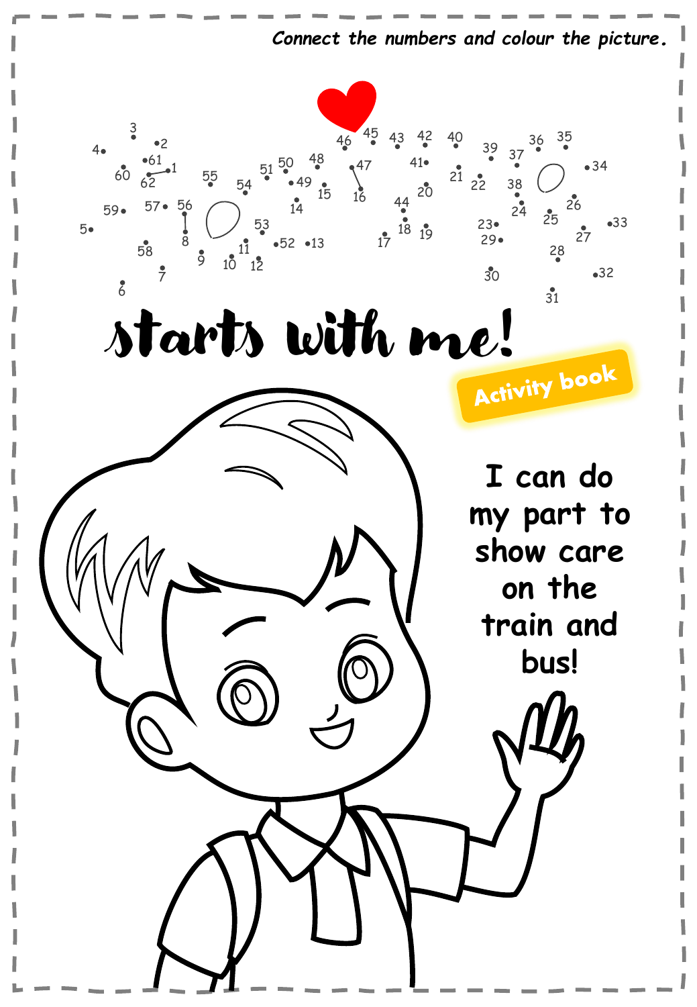*Connect the numbers and colour the picture.*

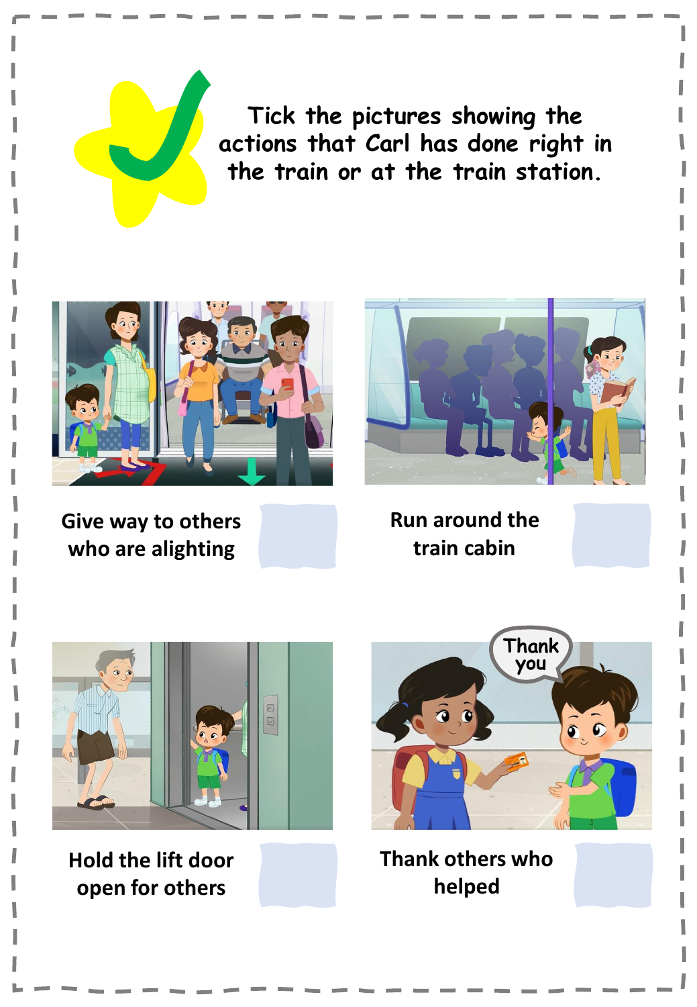**Tick the pictures showing the actions that Carl has done right in the train or at the train station.**



**Give way to others who are alighting**



**Run around the train cabin**



**Hold the lift door open for others**



**Thank others who helped**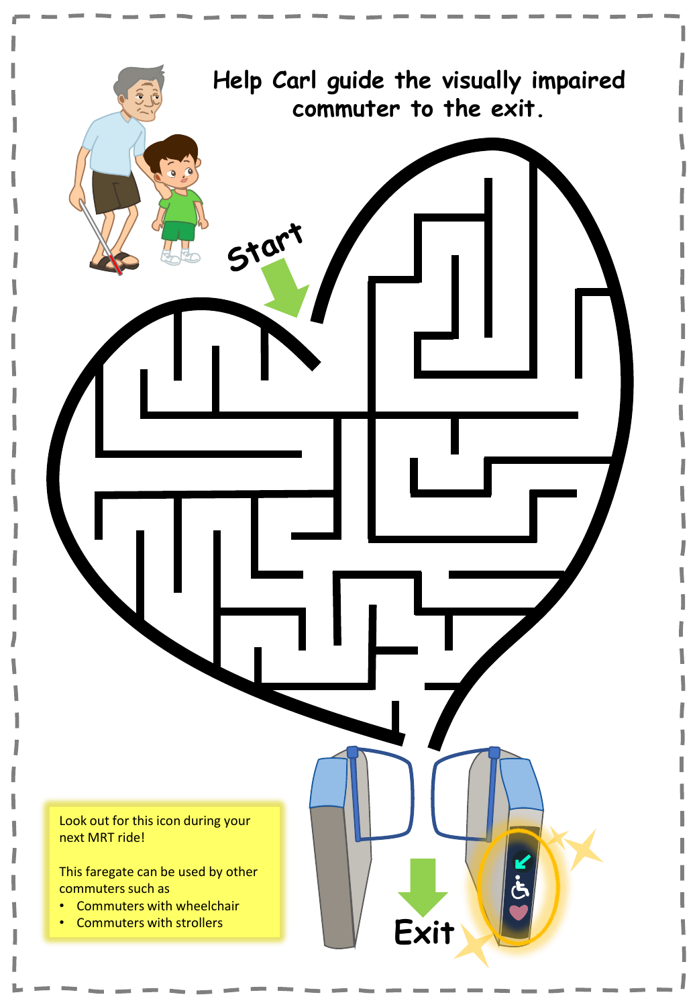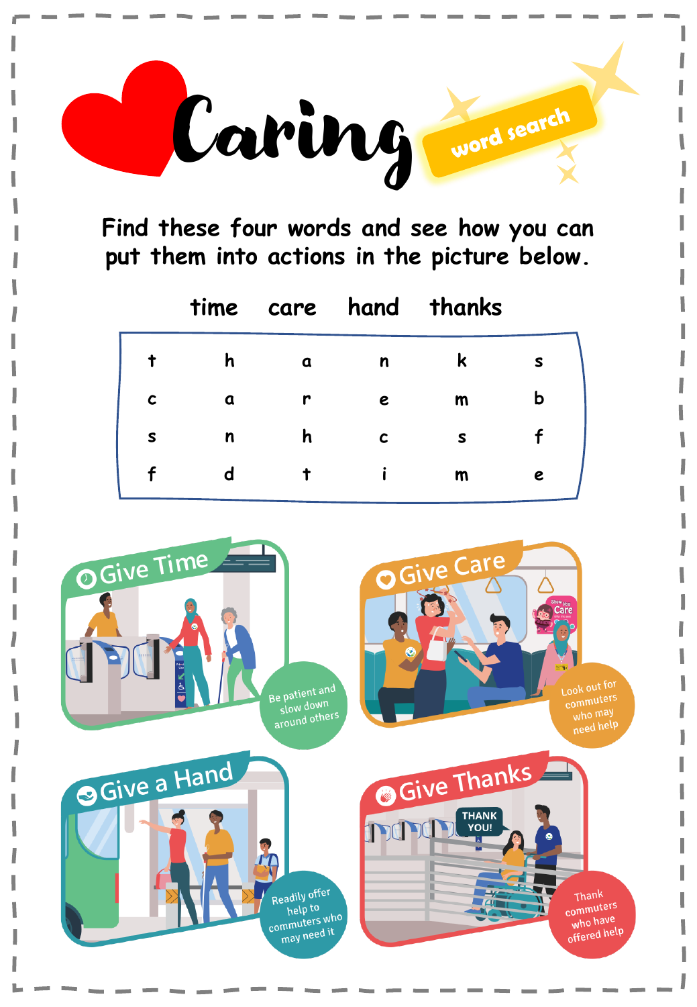

**Find these four words and see how you can put them into actions in the picture below.**

|              |   |   |             | time care hand thanks |   |
|--------------|---|---|-------------|-----------------------|---|
|              | h | a | n           | к                     | s |
| $\mathbf c$  | a | r | e           | $\mathsf{m}$          |   |
| $\mathsf{s}$ | n | h | $\mathbf c$ | S                     |   |
|              | d |   |             | $\mathsf m$           | e |

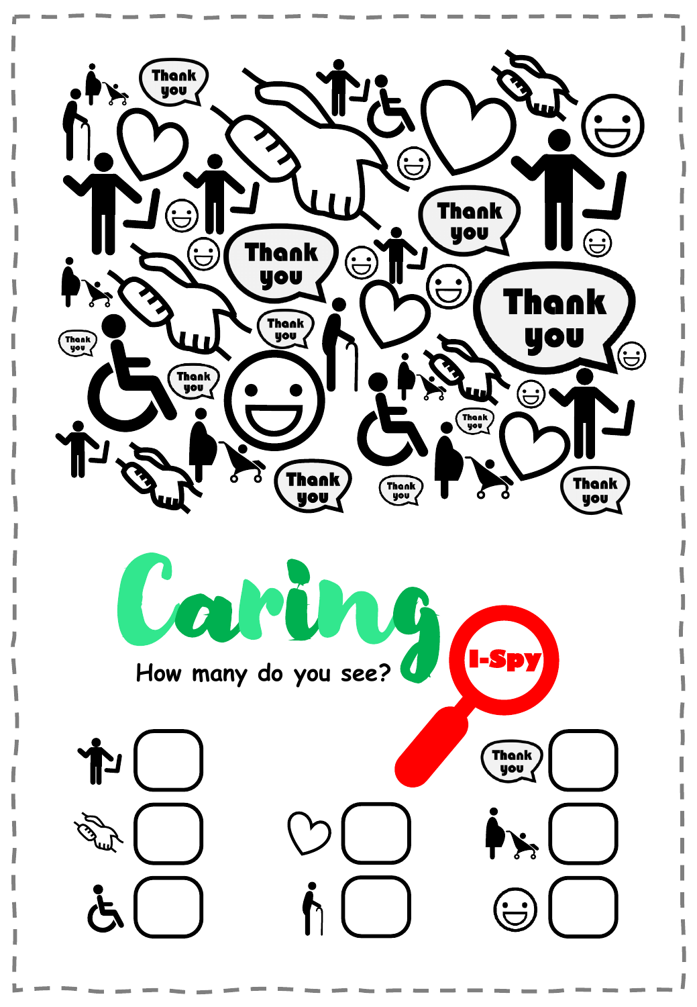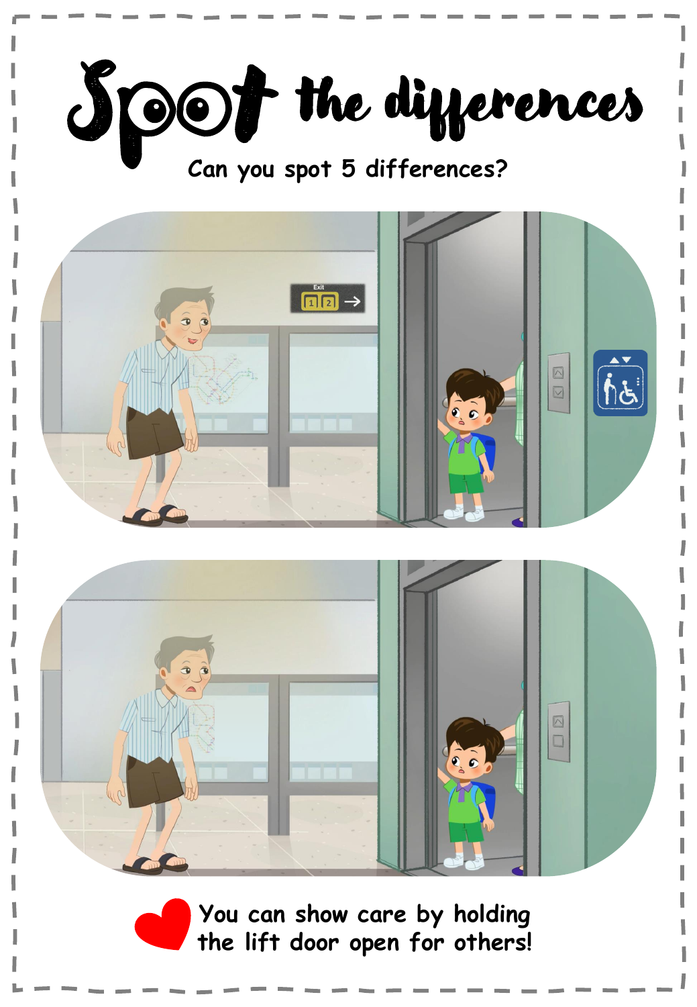

**You can show care by holding the lift door open for others!**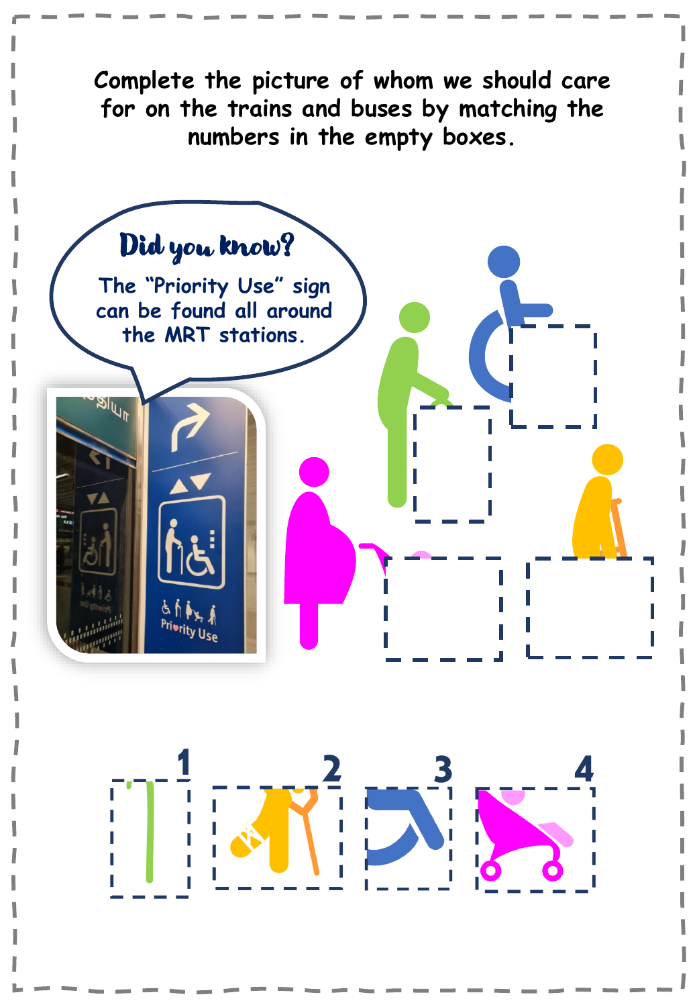